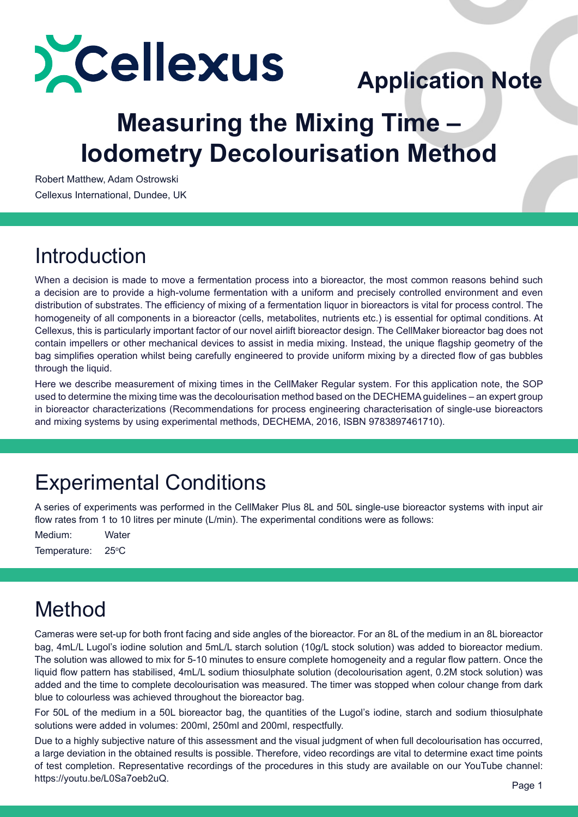

# **Application Note**

## **Measuring the Mixing Time – Iodometry Decolourisation Method**

Robert Matthew, Adam Ostrowski Cellexus International, Dundee, UK

## Introduction

When a decision is made to move a fermentation process into a bioreactor, the most common reasons behind such a decision are to provide a high-volume fermentation with a uniform and precisely controlled environment and even distribution of substrates. The efficiency of mixing of a fermentation liquor in bioreactors is vital for process control. The homogeneity of all components in a bioreactor (cells, metabolites, nutrients etc.) is essential for optimal conditions. At Cellexus, this is particularly important factor of our novel airlift bioreactor design. The CellMaker bioreactor bag does not contain impellers or other mechanical devices to assist in media mixing. Instead, the unique flagship geometry of the bag simplifies operation whilst being carefully engineered to provide uniform mixing by a directed flow of gas bubbles through the liquid.

Here we describe measurement of mixing times in the CellMaker Regular system. For this application note, the SOP used to determine the mixing time was the decolourisation method based on the DECHEMA guidelines – an expert group in bioreactor characterizations (Recommendations for process engineering characterisation of single-use bioreactors and mixing systems by using experimental methods, DECHEMA, 2016, ISBN 9783897461710).

## Experimental Conditions

A series of experiments was performed in the CellMaker Plus 8L and 50L single-use bioreactor systems with input air flow rates from 1 to 10 litres per minute (L/min). The experimental conditions were as follows:

Medium: Water Temperature:  $25^{\circ}$ C

## Method

Cameras were set-up for both front facing and side angles of the bioreactor. For an 8L of the medium in an 8L bioreactor bag, 4mL/L Lugol's iodine solution and 5mL/L starch solution (10g/L stock solution) was added to bioreactor medium. The solution was allowed to mix for 5-10 minutes to ensure complete homogeneity and a regular flow pattern. Once the liquid flow pattern has stabilised, 4mL/L sodium thiosulphate solution (decolourisation agent, 0.2M stock solution) was added and the time to complete decolourisation was measured. The timer was stopped when colour change from dark blue to colourless was achieved throughout the bioreactor bag.

For 50L of the medium in a 50L bioreactor bag, the quantities of the Lugol's iodine, starch and sodium thiosulphate solutions were added in volumes: 200ml, 250ml and 200ml, respectfully.

Due to a highly subjective nature of this assessment and the visual judgment of when full decolourisation has occurred, a large deviation in the obtained results is possible. Therefore, video recordings are vital to determine exact time points of test completion. Representative recordings of the procedures in this study are available on our YouTube channel: https://youtu.be/L0Sa7oeb2uQ.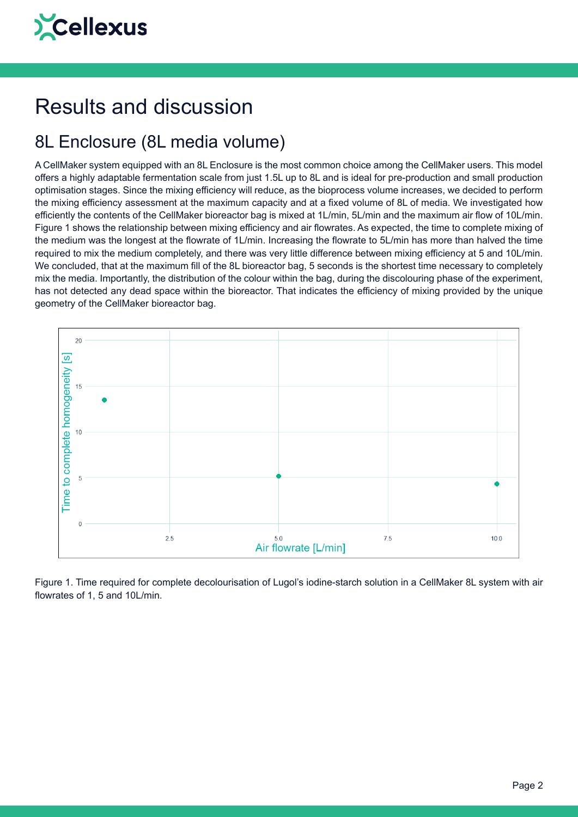## Results and discussion

#### 8L Enclosure (8L media volume)

A CellMaker system equipped with an 8L Enclosure is the most common choice among the CellMaker users. This model offers a highly adaptable fermentation scale from just 1.5L up to 8L and is ideal for pre-production and small production optimisation stages. Since the mixing efficiency will reduce, as the bioprocess volume increases, we decided to perform the mixing efficiency assessment at the maximum capacity and at a fixed volume of 8L of media. We investigated how efficiently the contents of the CellMaker bioreactor bag is mixed at 1L/min, 5L/min and the maximum air flow of 10L/min. Figure 1 shows the relationship between mixing efficiency and air flowrates. As expected, the time to complete mixing of the medium was the longest at the flowrate of 1L/min. Increasing the flowrate to 5L/min has more than halved the time required to mix the medium completely, and there was very little difference between mixing efficiency at 5 and 10L/min. We concluded, that at the maximum fill of the 8L bioreactor bag, 5 seconds is the shortest time necessary to completely mix the media. Importantly, the distribution of the colour within the bag, during the discolouring phase of the experiment, has not detected any dead space within the bioreactor. That indicates the efficiency of mixing provided by the unique geometry of the CellMaker bioreactor bag.



Figure 1. Time required for complete decolourisation of Lugol's iodine-starch solution in a CellMaker 8L system with air flowrates of 1, 5 and 10L/min.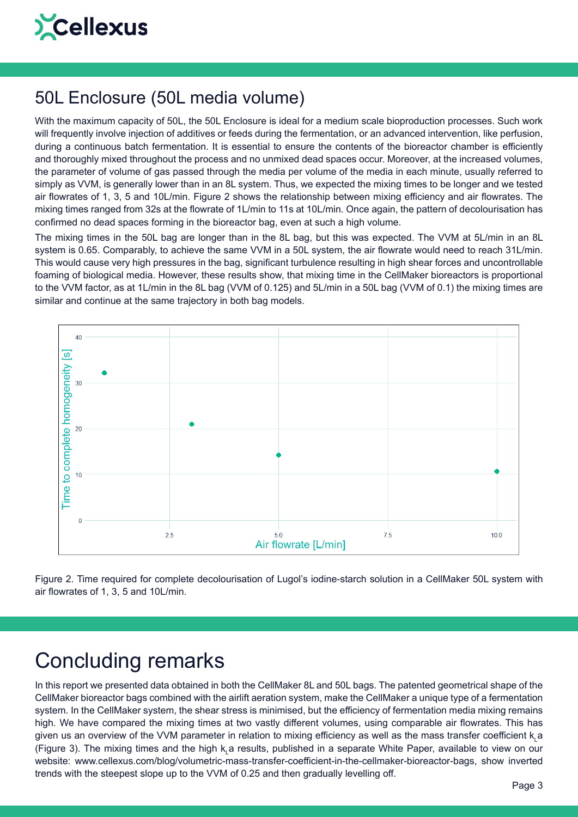

#### 50L Enclosure (50L media volume)

With the maximum capacity of 50L, the 50L Enclosure is ideal for a medium scale bioproduction processes. Such work will frequently involve injection of additives or feeds during the fermentation, or an advanced intervention, like perfusion, during a continuous batch fermentation. It is essential to ensure the contents of the bioreactor chamber is efficiently and thoroughly mixed throughout the process and no unmixed dead spaces occur. Moreover, at the increased volumes, the parameter of volume of gas passed through the media per volume of the media in each minute, usually referred to simply as VVM, is generally lower than in an 8L system. Thus, we expected the mixing times to be longer and we tested air flowrates of 1, 3, 5 and 10L/min. Figure 2 shows the relationship between mixing efficiency and air flowrates. The mixing times ranged from 32s at the flowrate of 1L/min to 11s at 10L/min. Once again, the pattern of decolourisation has confirmed no dead spaces forming in the bioreactor bag, even at such a high volume.

The mixing times in the 50L bag are longer than in the 8L bag, but this was expected. The VVM at 5L/min in an 8L system is 0.65. Comparably, to achieve the same VVM in a 50L system, the air flowrate would need to reach 31L/min. This would cause very high pressures in the bag, significant turbulence resulting in high shear forces and uncontrollable foaming of biological media. However, these results show, that mixing time in the CellMaker bioreactors is proportional to the VVM factor, as at 1L/min in the 8L bag (VVM of 0.125) and 5L/min in a 50L bag (VVM of 0.1) the mixing times are similar and continue at the same trajectory in both bag models.



Figure 2. Time required for complete decolourisation of Lugol's iodine-starch solution in a CellMaker 50L system with air flowrates of 1, 3, 5 and 10L/min.

## Concluding remarks

In this report we presented data obtained in both the CellMaker 8L and 50L bags. The patented geometrical shape of the CellMaker bioreactor bags combined with the airlift aeration system, make the CellMaker a unique type of a fermentation system. In the CellMaker system, the shear stress is minimised, but the efficiency of fermentation media mixing remains high. We have compared the mixing times at two vastly different volumes, using comparable air flowrates. This has given us an overview of the VVM parameter in relation to mixing efficiency as well as the mass transfer coefficient k<sub>L</sub>a (Figure 3). The mixing times and the high k<sub>L</sub>a results, published in a separate White Paper, available to view on our website: www.cellexus.com/blog/volumetric-mass-transfer-coefficient-in-the-cellmaker-bioreactor-bags, show inverted trends with the steepest slope up to the VVM of 0.25 and then gradually levelling off.